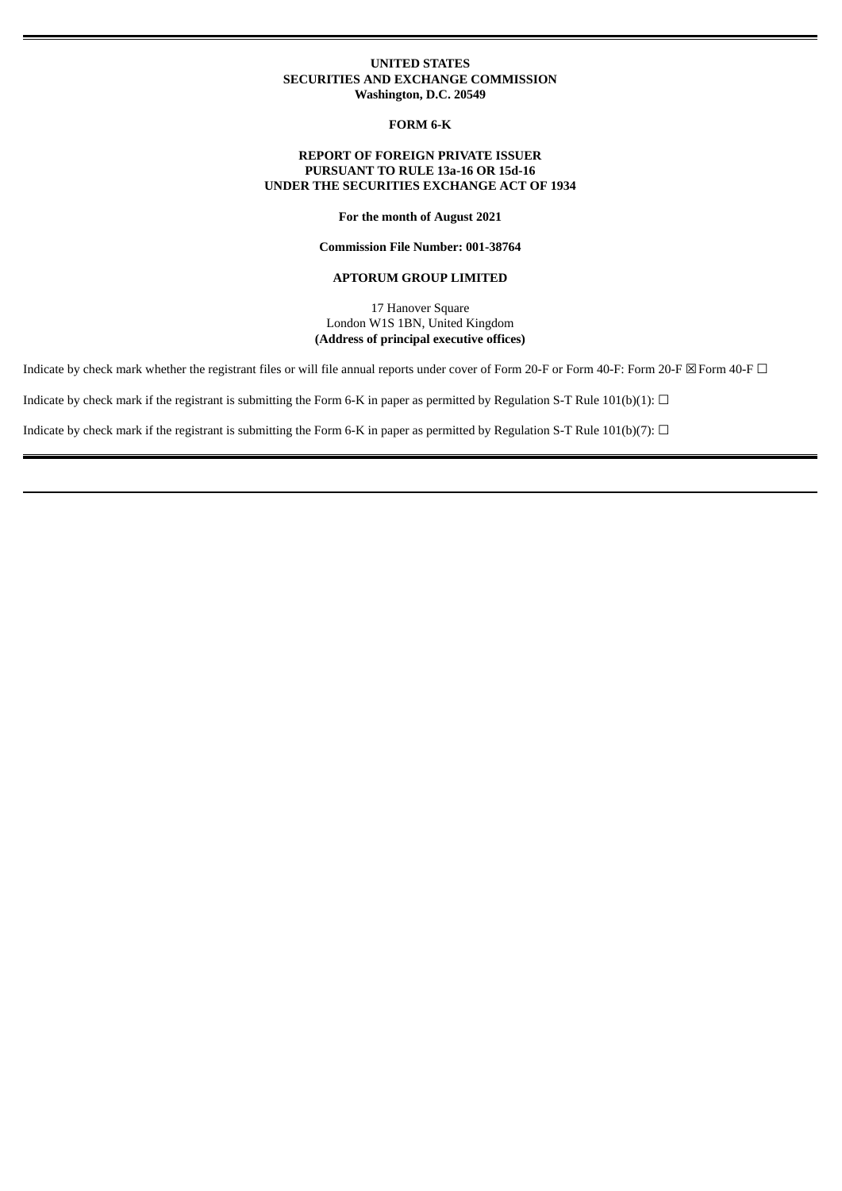### **UNITED STATES SECURITIES AND EXCHANGE COMMISSION Washington, D.C. 20549**

**FORM 6-K**

## **REPORT OF FOREIGN PRIVATE ISSUER PURSUANT TO RULE 13a-16 OR 15d-16 UNDER THE SECURITIES EXCHANGE ACT OF 1934**

**For the month of August 2021**

**Commission File Number: 001-38764**

#### **APTORUM GROUP LIMITED**

17 Hanover Square London W1S 1BN, United Kingdom **(Address of principal executive offices)**

Indicate by check mark whether the registrant files or will file annual reports under cover of Form 20-F or Form 40-F: Form 20-F  $\boxtimes$  Form 40-F  $\Box$ 

Indicate by check mark if the registrant is submitting the Form 6-K in paper as permitted by Regulation S-T Rule 101(b)(1):  $\Box$ 

Indicate by check mark if the registrant is submitting the Form 6-K in paper as permitted by Regulation S-T Rule 101(b)(7):  $\Box$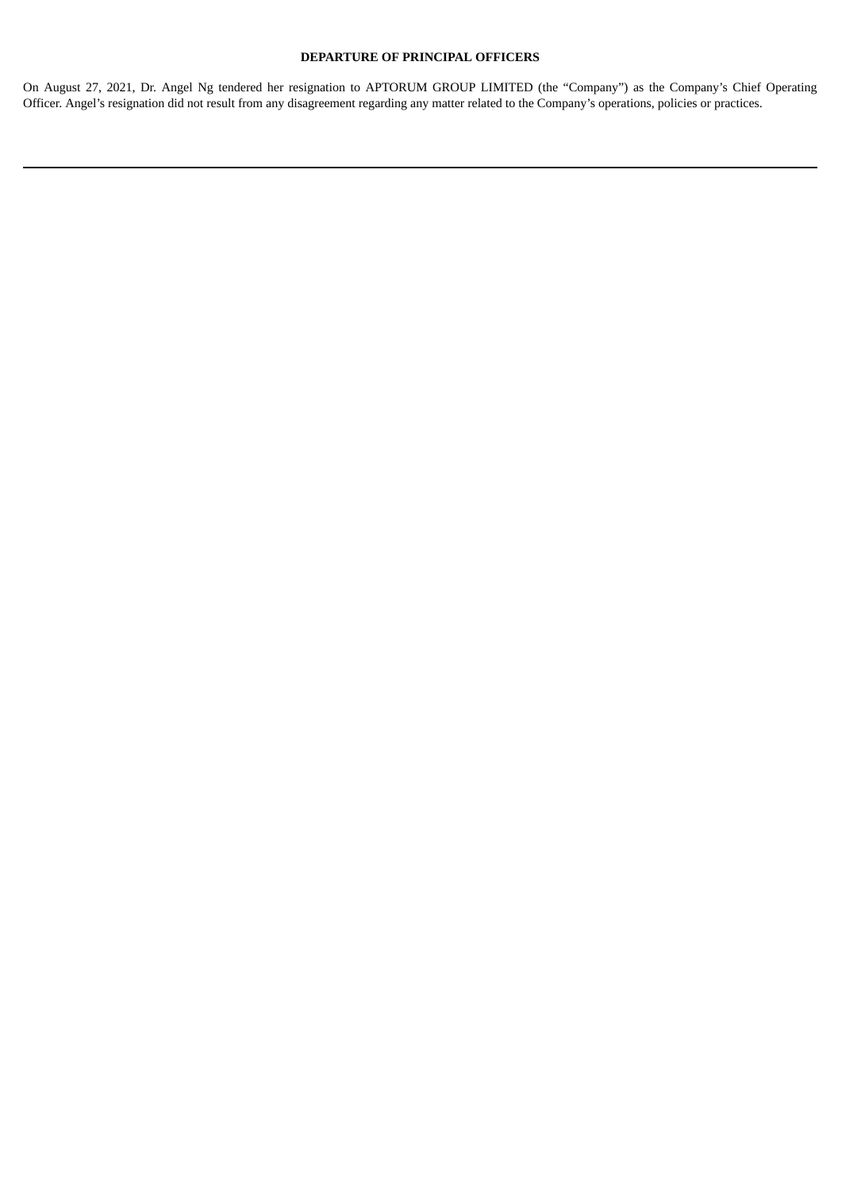# **DEPARTURE OF PRINCIPAL OFFICERS**

On August 27, 2021, Dr. Angel Ng tendered her resignation to APTORUM GROUP LIMITED (the "Company") as the Company's Chief Operating Officer. Angel's resignation did not result from any disagreement regarding any matter related to the Company's operations, policies or practices.